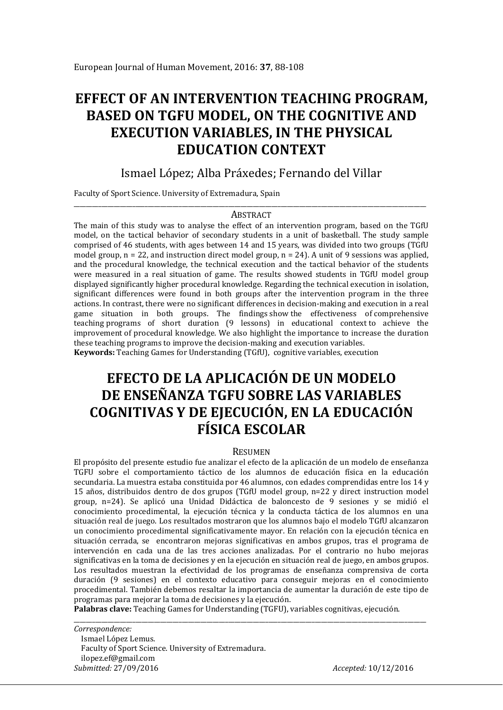# **EFFECT OF AN INTERVENTION TEACHING PROGRAM, BASED ON TGFU MODEL, ON THE COGNITIVE AND EXECUTION VARIABLES, IN THE PHYSICAL EDUCATION CONTEXT**

## Ismael López; Alba Práxedes; Fernando del Villar

Faculty of Sport Science. University of Extremadura, Spain

#### \_\_\_\_\_\_\_\_\_\_\_\_\_\_\_\_\_\_\_\_\_\_\_\_\_\_\_\_\_\_\_\_\_\_\_\_\_\_\_\_\_\_\_\_\_\_\_\_\_\_\_\_\_\_\_\_\_\_\_\_\_\_\_\_\_\_\_\_\_\_\_\_\_\_\_\_\_\_\_\_\_\_\_\_\_\_\_\_\_\_\_\_\_\_\_\_\_\_\_\_\_\_\_\_\_\_\_\_\_\_\_\_\_\_ ABSTRACT

The main of this study was to analyse the effect of an intervention program, based on the TGfU model, on the tactical behavior of secondary students in a unit of basketball. The study sample comprised of 46 students, with ages between 14 and 15 years, was divided into two groups (TGfU model group,  $n = 22$ , and instruction direct model group,  $n = 24$ ). A unit of 9 sessions was applied, and the procedural knowledge, the technical execution and the tactical behavior of the students were measured in a real situation of game. The results showed students in TGfU model group displayed significantly higher procedural knowledge. Regarding the technical execution in isolation, significant differences were found in both groups after the intervention program in the three actions. In contrast, there were no significant differences in decision-making and execution in a real game situation in both groups. The findings show the effectiveness of comprehensive teaching programs of short duration (9 lessons) in educational context to achieve the improvement of procedural knowledge. We also highlight the importance to increase the duration these teaching programs to improve the decision-making and execution variables.

**Keywords:** Teaching Games for Understanding (TGfU), cognitive variables, execution

# **EFECTO DE LA APLICACIÓN DE UN MODELO DE ENSEÑANZA TGFU SOBRE LAS VARIABLES COGNITIVAS Y DE EJECUCIÓN, EN LA EDUCACIÓN FÍSICA ESCOLAR**

#### **RESUMEN**

El propósito del presente estudio fue analizar el efecto de la aplicación de un modelo de enseñanza TGFU sobre el comportamiento táctico de los alumnos de educación física en la educación secundaria. La muestra estaba constituida por 46 alumnos, con edades comprendidas entre los 14 y 15 años, distribuidos dentro de dos grupos (TGfU model group, n=22 y direct instruction model group, n=24). Se aplicó una Unidad Didáctica de baloncesto de 9 sesiones y se midió el conocimiento procedimental, la ejecución técnica y la conducta táctica de los alumnos en una situación real de juego. Los resultados mostraron que los alumnos bajo el modelo TGfU alcanzaron un conocimiento procedimental significativamente mayor. En relación con la ejecución técnica en situación cerrada, se encontraron mejoras significativas en ambos grupos, tras el programa de intervención en cada una de las tres acciones analizadas. Por el contrario no hubo mejoras significativas en la toma de decisiones y en la ejecución en situación real de juego, en ambos grupos. Los resultados muestran la efectividad de los programas de enseñanza comprensiva de corta duración (9 sesiones) en el contexto educativo para conseguir mejoras en el conocimiento procedimental. También debemos resaltar la importancia de aumentar la duración de este tipo de programas para mejorar la toma de decisiones y la ejecución.

**Palabras clave:** Teaching Games for Understanding (TGFU), variables cognitivas, ejecución.

\_\_\_\_\_\_\_\_\_\_\_\_\_\_\_\_\_\_\_\_\_\_\_\_\_\_\_\_\_\_\_\_\_\_\_\_\_\_\_\_\_\_\_\_\_\_\_\_\_\_\_\_\_\_\_\_\_\_\_\_\_\_\_\_\_\_\_\_\_\_\_\_\_\_\_\_\_\_\_\_\_\_\_\_\_\_\_\_\_\_\_\_\_\_\_\_\_\_\_\_\_\_\_\_\_\_\_\_\_\_\_\_\_\_

*Correspondence:*  Ismael López Lemus. Faculty of Sport Science. University of Extremadura. ilopez.ef@gmail.com<br>Submitted: 27/09/2016

*Submitted:* 27/09/2016 *Accepted:* 10/12/2016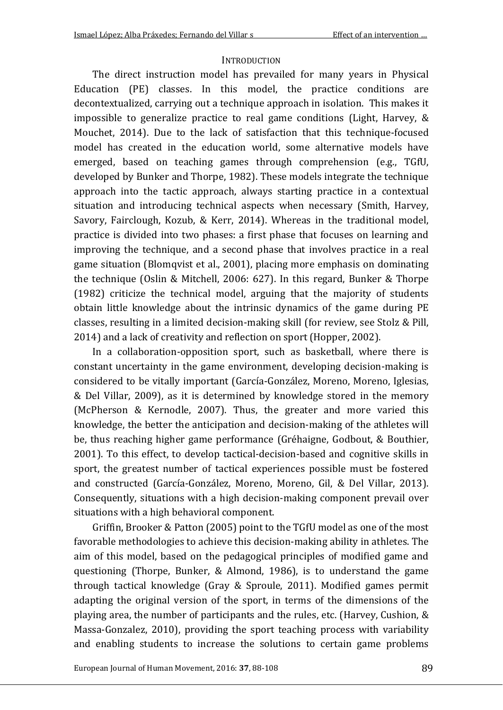#### **INTRODUCTION**

The direct instruction model has prevailed for many years in Physical Education (PE) classes. In this model, the practice conditions are decontextualized, carrying out a technique approach in isolation. This makes it impossible to generalize practice to real game conditions (Light, Harvey, & Mouchet, 2014). Due to the lack of satisfaction that this technique-focused model has created in the education world, some alternative models have emerged, based on teaching games through comprehension (e.g., TGfU, developed by Bunker and Thorpe, 1982). These models integrate the technique approach into the tactic approach, always starting practice in a contextual situation and introducing technical aspects when necessary (Smith, Harvey, Savory, Fairclough, Kozub, & Kerr, 2014). Whereas in the traditional model, practice is divided into two phases: a first phase that focuses on learning and improving the technique, and a second phase that involves practice in a real game situation (Blomqvist et al., 2001), placing more emphasis on dominating the technique (Oslin & Mitchell, 2006: 627). In this regard, Bunker & Thorpe (1982) criticize the technical model, arguing that the majority of students obtain little knowledge about the intrinsic dynamics of the game during PE classes, resulting in a limited decision-making skill (for review, see Stolz & Pill, 2014) and a lack of creativity and reflection on sport (Hopper, 2002).

In a collaboration-opposition sport, such as basketball, where there is constant uncertainty in the game environment, developing decision-making is considered to be vitally important (García-González, Moreno, Moreno, Iglesias, & Del Villar, 2009), as it is determined by knowledge stored in the memory (McPherson & Kernodle, 2007). Thus, the greater and more varied this knowledge, the better the anticipation and decision-making of the athletes will be, thus reaching higher game performance (Gréhaigne, Godbout, & Bouthier, 2001). To this effect, to develop tactical-decision-based and cognitive skills in sport, the greatest number of tactical experiences possible must be fostered and constructed (García-González, Moreno, Moreno, Gil, & Del Villar, 2013). Consequently, situations with a high decision-making component prevail over situations with a high behavioral component.

Griffin, Brooker & Patton (2005) point to the TGfU model as one of the most favorable methodologies to achieve this decision-making ability in athletes. The aim of this model, based on the pedagogical principles of modified game and questioning (Thorpe, Bunker, & Almond, 1986), is to understand the game through tactical knowledge (Gray & Sproule, 2011). Modified games permit adapting the original version of the sport, in terms of the dimensions of the playing area, the number of participants and the rules, etc. (Harvey, Cushion, & Massa-Gonzalez, 2010), providing the sport teaching process with variability and enabling students to increase the solutions to certain game problems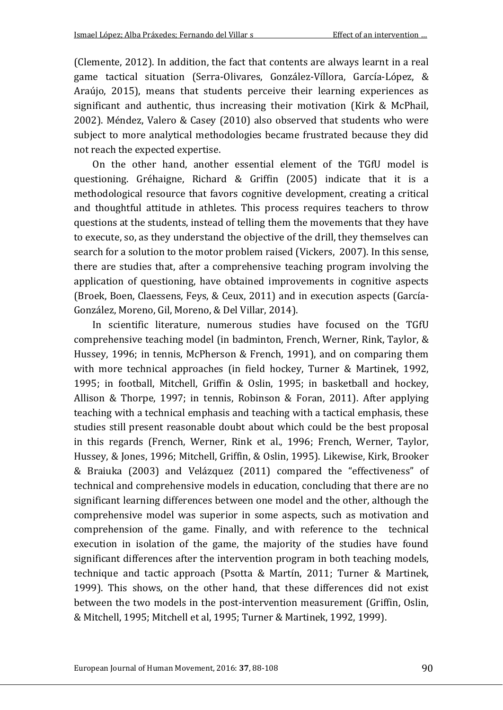(Clemente, 2012). In addition, the fact that contents are always learnt in a real game tactical situation (Serra-Olivares, González-Víllora, García-López, & Araújo, 2015), means that students perceive their learning experiences as significant and authentic, thus increasing their motivation (Kirk & McPhail, 2002). Méndez, Valero & Casey (2010) also observed that students who were subject to more analytical methodologies became frustrated because they did not reach the expected expertise.

On the other hand, another essential element of the TGfU model is questioning. Gréhaigne, Richard & Griffin (2005) indicate that it is a methodological resource that favors cognitive development, creating a critical and thoughtful attitude in athletes. This process requires teachers to throw questions at the students, instead of telling them the movements that they have to execute, so, as they understand the objective of the drill, they themselves can search for a solution to the motor problem raised (Vickers, 2007). In this sense, there are studies that, after a comprehensive teaching program involving the application of questioning, have obtained improvements in cognitive aspects (Broek, Boen, Claessens, Feys, & Ceux, 2011) and in execution aspects (García-González, Moreno, Gil, Moreno, & Del Villar, 2014).

In scientific literature, numerous studies have focused on the TGfU comprehensive teaching model (in badminton, French, Werner, Rink, Taylor, & Hussey, 1996; in tennis, McPherson & French, 1991), and on comparing them with more technical approaches (in field hockey, Turner & Martinek, 1992, 1995; in football, Mitchell, Griffin & Oslin, 1995; in basketball and hockey, Allison & Thorpe, 1997; in tennis, Robinson & Foran, 2011). After applying teaching with a technical emphasis and teaching with a tactical emphasis, these studies still present reasonable doubt about which could be the best proposal in this regards (French, Werner, Rink et al., 1996; French, Werner, Taylor, Hussey, & Jones, 1996; Mitchell, Griffin, & Oslin, 1995). Likewise, Kirk, Brooker & Braiuka (2003) and Velázquez (2011) compared the "effectiveness" of technical and comprehensive models in education, concluding that there are no significant learning differences between one model and the other, although the comprehensive model was superior in some aspects, such as motivation and comprehension of the game. Finally, and with reference to the technical execution in isolation of the game, the majority of the studies have found significant differences after the intervention program in both teaching models, technique and tactic approach (Psotta & Martín, 2011; Turner & Martinek, 1999). This shows, on the other hand, that these differences did not exist between the two models in the post-intervention measurement (Griffin, Oslin, & Mitchell, 1995; Mitchell et al, 1995; Turner & Martinek, 1992, 1999).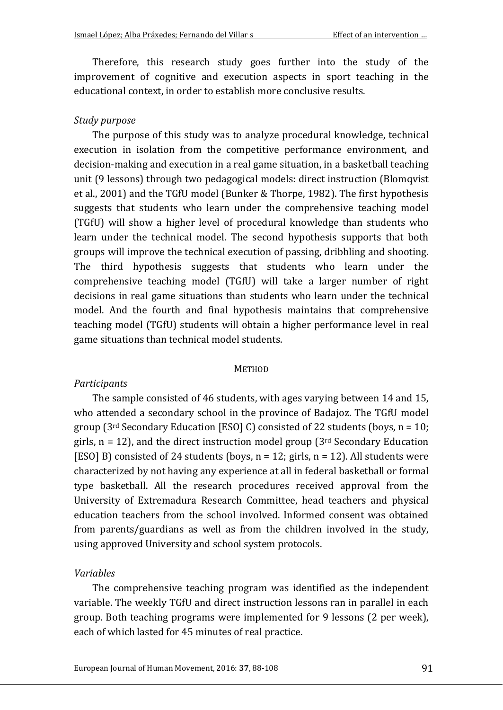Therefore, this research study goes further into the study of the improvement of cognitive and execution aspects in sport teaching in the educational context, in order to establish more conclusive results.

### *Study purpose*

The purpose of this study was to analyze procedural knowledge, technical execution in isolation from the competitive performance environment, and decision-making and execution in a real game situation, in a basketball teaching unit (9 lessons) through two pedagogical models: direct instruction (Blomqvist et al., 2001) and the TGfU model (Bunker & Thorpe, 1982). The first hypothesis suggests that students who learn under the comprehensive teaching model (TGfU) will show a higher level of procedural knowledge than students who learn under the technical model. The second hypothesis supports that both groups will improve the technical execution of passing, dribbling and shooting. The third hypothesis suggests that students who learn under the comprehensive teaching model (TGfU) will take a larger number of right decisions in real game situations than students who learn under the technical model. And the fourth and final hypothesis maintains that comprehensive teaching model (TGfU) students will obtain a higher performance level in real game situations than technical model students.

#### **METHOD**

#### *Participants*

The sample consisted of 46 students, with ages varying between 14 and 15, who attended a secondary school in the province of Badajoz. The TGfU model group ( $3<sup>rd</sup>$  Secondary Education [ESO] C) consisted of 22 students (boys,  $n = 10$ ; girls,  $n = 12$ ), and the direct instruction model group ( $3<sup>rd</sup>$  Secondary Education [ESO] B] consisted of 24 students (boys,  $n = 12$ ; girls,  $n = 12$ ). All students were characterized by not having any experience at all in federal basketball or formal type basketball. All the research procedures received approval from the University of Extremadura Research Committee, head teachers and physical education teachers from the school involved. Informed consent was obtained from parents/guardians as well as from the children involved in the study, using approved University and school system protocols.

## *Variables*

The comprehensive teaching program was identified as the independent variable. The weekly TGfU and direct instruction lessons ran in parallel in each group. Both teaching programs were implemented for 9 lessons (2 per week), each of which lasted for 45 minutes of real practice.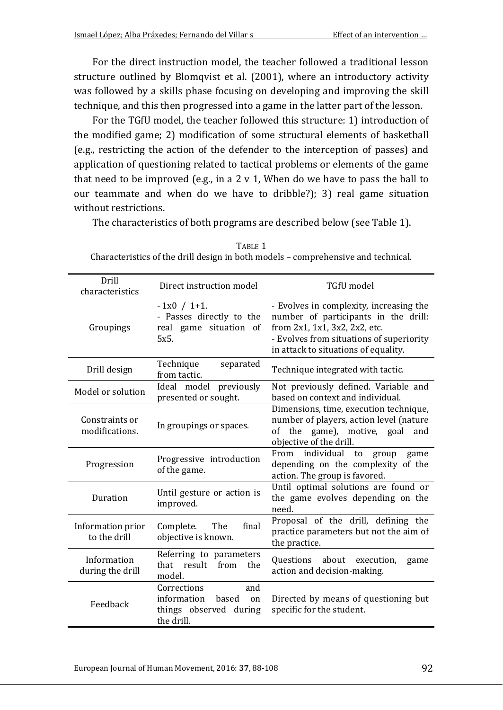For the direct instruction model, the teacher followed a traditional lesson structure outlined by Blomqvist et al. (2001), where an introductory activity was followed by a skills phase focusing on developing and improving the skill technique, and this then progressed into a game in the latter part of the lesson.

For the TGfU model, the teacher followed this structure: 1) introduction of the modified game; 2) modification of some structural elements of basketball (e.g., restricting the action of the defender to the interception of passes) and application of questioning related to tactical problems or elements of the game that need to be improved (e.g., in a  $2 \text{ v } 1$ , When do we have to pass the ball to our teammate and when do we have to dribble?); 3) real game situation without restrictions.

The characteristics of both programs are described below (see Table 1).

| Drill<br>characteristics          | Direct instruction model                                                                 | TGfU model                                                                                                                                                                                           |  |  |
|-----------------------------------|------------------------------------------------------------------------------------------|------------------------------------------------------------------------------------------------------------------------------------------------------------------------------------------------------|--|--|
| Groupings                         | $-1x0 / 1+1$ .<br>- Passes directly to the<br>real game situation of<br>5x5.             | - Evolves in complexity, increasing the<br>number of participants in the drill:<br>from 2x1, 1x1, 3x2, 2x2, etc.<br>- Evolves from situations of superiority<br>in attack to situations of equality. |  |  |
| Drill design                      | Technique<br>separated<br>from tactic.                                                   | Technique integrated with tactic.                                                                                                                                                                    |  |  |
| Model or solution                 | Ideal model previously<br>presented or sought.                                           | Not previously defined. Variable and<br>based on context and individual.                                                                                                                             |  |  |
| Constraints or<br>modifications.  | In groupings or spaces.                                                                  | Dimensions, time, execution technique,<br>number of players, action level (nature<br>of the game), motive, goal and<br>objective of the drill.                                                       |  |  |
| Progression                       | Progressive introduction<br>of the game.                                                 | individual<br>From<br>game<br>to<br>group<br>depending on the complexity of the<br>action. The group is favored.                                                                                     |  |  |
| Duration                          | Until gesture or action is<br>improved.                                                  | Until optimal solutions are found or<br>the game evolves depending on the<br>need.                                                                                                                   |  |  |
| Information prior<br>to the drill | The<br>final<br>Complete.<br>objective is known.                                         | Proposal of the drill, defining the<br>practice parameters but not the aim of<br>the practice.                                                                                                       |  |  |
| Information<br>during the drill   | Referring to parameters<br>that result from<br>the<br>model.                             | Ouestions<br>about execution,<br>game<br>action and decision-making.                                                                                                                                 |  |  |
| Feedback                          | Corrections<br>and<br>information<br>based<br>on<br>things observed during<br>the drill. | Directed by means of questioning but<br>specific for the student.                                                                                                                                    |  |  |

TABLE 1 Characteristics of the drill design in both models – comprehensive and technical.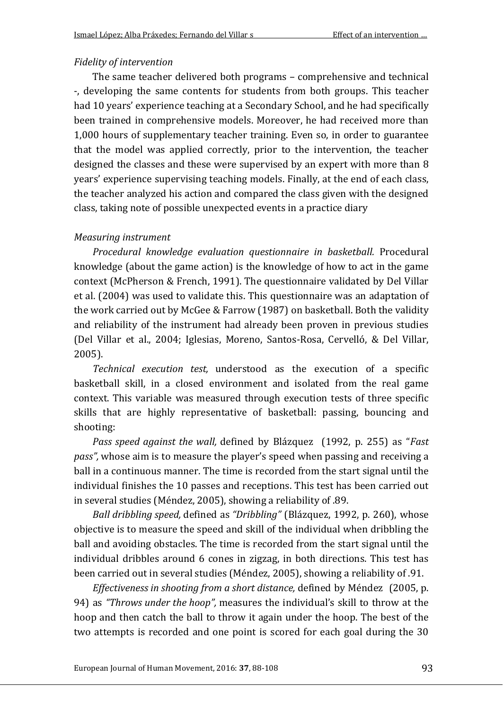## *Fidelity of intervention*

The same teacher delivered both programs – comprehensive and technical -, developing the same contents for students from both groups. This teacher had 10 years' experience teaching at a Secondary School, and he had specifically been trained in comprehensive models. Moreover, he had received more than 1,000 hours of supplementary teacher training. Even so, in order to guarantee that the model was applied correctly, prior to the intervention, the teacher designed the classes and these were supervised by an expert with more than 8 years' experience supervising teaching models. Finally, at the end of each class, the teacher analyzed his action and compared the class given with the designed class, taking note of possible unexpected events in a practice diary

## *Measuring instrument*

*Procedural knowledge evaluation questionnaire in basketball.* Procedural knowledge (about the game action) is the knowledge of how to act in the game context (McPherson & French, 1991). The questionnaire validated by Del Villar et al. (2004) was used to validate this. This questionnaire was an adaptation of the work carried out by McGee & Farrow (1987) on basketball. Both the validity and reliability of the instrument had already been proven in previous studies (Del Villar et al., 2004; Iglesias, Moreno, Santos-Rosa, Cervelló, & Del Villar, 2005).

*Technical execution test,* understood as the execution of a specific basketball skill, in a closed environment and isolated from the real game context. This variable was measured through execution tests of three specific skills that are highly representative of basketball: passing, bouncing and shooting:

*Pass speed against the wall,* defined by Blázquez (1992, p. 255) as "*Fast pass",* whose aim is to measure the player's speed when passing and receiving a ball in a continuous manner. The time is recorded from the start signal until the individual finishes the 10 passes and receptions. This test has been carried out in several studies (Méndez, 2005), showing a reliability of .89.

*Ball dribbling speed,* defined as *"Dribbling"* (Blázquez, 1992, p. 260), whose objective is to measure the speed and skill of the individual when dribbling the ball and avoiding obstacles. The time is recorded from the start signal until the individual dribbles around 6 cones in zigzag, in both directions. This test has been carried out in several studies (Méndez, 2005), showing a reliability of .91.

*Effectiveness in shooting from a short distance,* defined by Méndez (2005, p. 94) as *"Throws under the hoop",* measures the individual's skill to throw at the hoop and then catch the ball to throw it again under the hoop. The best of the two attempts is recorded and one point is scored for each goal during the 30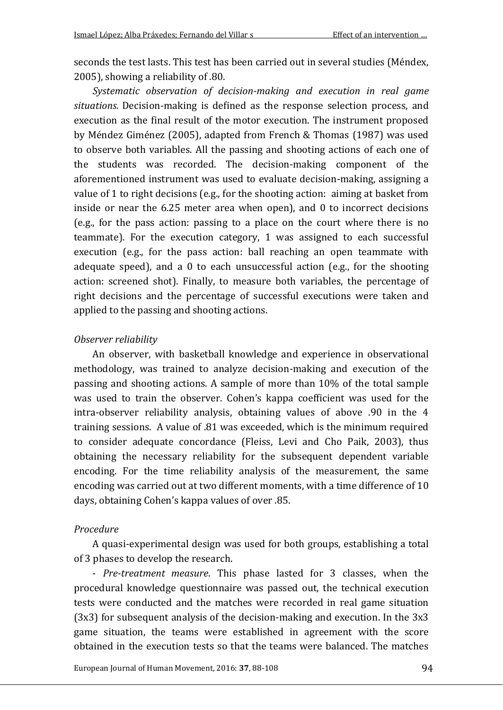seconds the test lasts. This test has been carried out in several studies (Méndex, 2005), showing a reliability of .80.

*Systematic observation of decision-making and execution in real game situations.* Decision-making is defined as the response selection process, and execution as the final result of the motor execution. The instrument proposed by Méndez Giménez (2005), adapted from French & Thomas (1987) was used to observe both variables. All the passing and shooting actions of each one of the students was recorded. The decision-making component of the aforementioned instrument was used to evaluate decision-making, assigning a value of 1 to right decisions (e.g., for the shooting action: aiming at basket from inside or near the 6.25 meter area when open), and 0 to incorrect decisions (e.g., for the pass action: passing to a place on the court where there is no teammate). For the execution category, 1 was assigned to each successful execution (e.g., for the pass action: ball reaching an open teammate with adequate speed), and a 0 to each unsuccessful action (e.g., for the shooting action: screened shot). Finally, to measure both variables, the percentage of right decisions and the percentage of successful executions were taken and applied to the passing and shooting actions.

## *Observer reliability*

An observer, with basketball knowledge and experience in observational methodology, was trained to analyze decision-making and execution of the passing and shooting actions. A sample of more than 10% of the total sample was used to train the observer. Cohen's kappa coefficient was used for the intra-observer reliability analysis, obtaining values of above .90 in the 4 training sessions. A value of .81 was exceeded, which is the minimum required to consider adequate concordance (Fleiss, Levi and Cho Paik, 2003), thus obtaining the necessary reliability for the subsequent dependent variable encoding. For the time reliability analysis of the measurement, the same encoding was carried out at two different moments, with a time difference of 10 days, obtaining Cohen's kappa values of over .85.

## *Procedure*

A quasi-experimental design was used for both groups, establishing a total of 3 phases to develop the research.

- *Pre-treatment measure*. This phase lasted for 3 classes, when the procedural knowledge questionnaire was passed out, the technical execution tests were conducted and the matches were recorded in real game situation (3x3) for subsequent analysis of the decision-making and execution. In the 3x3 game situation, the teams were established in agreement with the score obtained in the execution tests so that the teams were balanced. The matches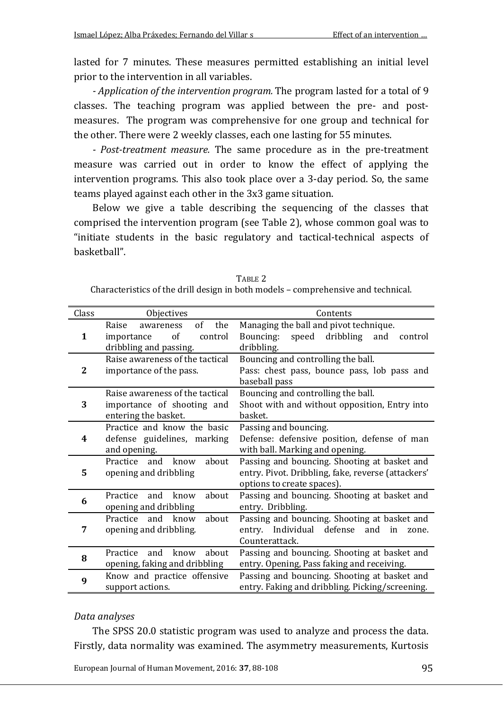lasted for 7 minutes. These measures permitted establishing an initial level prior to the intervention in all variables.

*- Application of the intervention program.* The program lasted for a total of 9 classes. The teaching program was applied between the pre- and postmeasures. The program was comprehensive for one group and technical for the other. There were 2 weekly classes, each one lasting for 55 minutes.

*- Post-treatment measure.* The same procedure as in the pre-treatment measure was carried out in order to know the effect of applying the intervention programs. This also took place over a 3-day period. So, the same teams played against each other in the 3x3 game situation.

Below we give a table describing the sequencing of the classes that comprised the intervention program (see Table 2), whose common goal was to "initiate students in the basic regulatory and tactical-technical aspects of basketball".

| Class        | Objectives                                                                               | Contents                                                                                                                         |  |  |
|--------------|------------------------------------------------------------------------------------------|----------------------------------------------------------------------------------------------------------------------------------|--|--|
| 1            | of<br>the<br>Raise<br>awareness<br>of<br>control<br>importance<br>dribbling and passing. | Managing the ball and pivot technique.<br>Bouncing:<br>speed dribbling<br>and<br>control<br>dribbling.                           |  |  |
| $\mathbf{2}$ | Raise awareness of the tactical<br>importance of the pass.                               | Bouncing and controlling the ball.<br>Pass: chest pass, bounce pass, lob pass and<br>baseball pass                               |  |  |
| 3            | Raise awareness of the tactical<br>importance of shooting and<br>entering the basket.    | Bouncing and controlling the ball.<br>Shoot with and without opposition, Entry into<br>basket.                                   |  |  |
| 4            | Practice and know the basic<br>defense guidelines, marking<br>and opening.               | Passing and bouncing.<br>Defense: defensive position, defense of man<br>with ball. Marking and opening.                          |  |  |
| 5            | Practice and<br>know<br>about<br>opening and dribbling                                   | Passing and bouncing. Shooting at basket and<br>entry. Pivot. Dribbling, fake, reverse (attackers'<br>options to create spaces). |  |  |
| 6            | Practice<br>and<br>know<br>about<br>opening and dribbling                                | Passing and bouncing. Shooting at basket and<br>entry. Dribbling.                                                                |  |  |
| 7            | Practice<br>know<br>about<br>and<br>opening and dribbling.                               | Passing and bouncing. Shooting at basket and<br>Individual<br>defense<br>entry.<br>and<br>in<br>zone.<br>Counterattack.          |  |  |
| 8            | Practice<br>and<br>know<br>about<br>opening, faking and dribbling                        | Passing and bouncing. Shooting at basket and<br>entry. Opening, Pass faking and receiving.                                       |  |  |
| 9            | Know and practice offensive<br>support actions.                                          | Passing and bouncing. Shooting at basket and<br>entry. Faking and dribbling. Picking/screening.                                  |  |  |

TABLE 2 Characteristics of the drill design in both models – comprehensive and technical.

#### *Data analyses*

The SPSS 20.0 statistic program was used to analyze and process the data. Firstly, data normality was examined. The asymmetry measurements, Kurtosis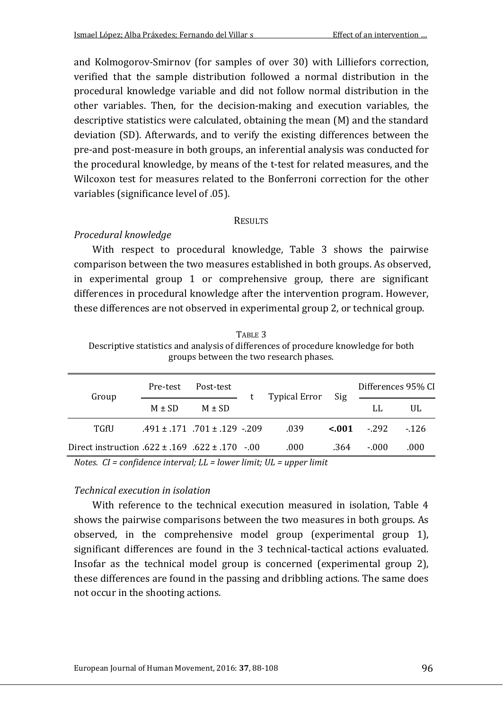and Kolmogorov-Smirnov (for samples of over 30) with Lilliefors correction, verified that the sample distribution followed a normal distribution in the procedural knowledge variable and did not follow normal distribution in the other variables. Then, for the decision-making and execution variables, the descriptive statistics were calculated, obtaining the mean (M) and the standard deviation (SD). Afterwards, and to verify the existing differences between the pre-and post-measure in both groups, an inferential analysis was conducted for the procedural knowledge, by means of the t-test for related measures, and the Wilcoxon test for measures related to the Bonferroni correction for the other variables (significance level of .05).

### **RESULTS**

## *Procedural knowledge*

With respect to procedural knowledge, Table 3 shows the pairwise comparison between the two measures established in both groups. As observed, in experimental group 1 or comprehensive group, there are significant differences in procedural knowledge after the intervention program. However, these differences are not observed in experimental group 2, or technical group.

TABLE 3 Descriptive statistics and analysis of differences of procedure knowledge for both groups between the two research phases.

| Group                                                     | Pre-test   | Post-test                          |  | Typical Error | Sig     | Differences 95% CI |        |
|-----------------------------------------------------------|------------|------------------------------------|--|---------------|---------|--------------------|--------|
|                                                           | $M \pm SD$ | $M \pm SD$                         |  |               |         | LL                 | UL     |
| TGfU                                                      |            | $.491 \pm .171$ 701 $\pm .129$ 209 |  | .039          | $-.001$ | $-292$             | $-126$ |
| Direct instruction $.622 \pm .169$ $.622 \pm .170$ $-.00$ |            |                                    |  | .000          | .364    | $-000 -$           | .000   |

*Notes. CI = confidence interval; LL = lower limit; UL = upper limit*

## *Technical execution in isolation*

With reference to the technical execution measured in isolation, Table 4 shows the pairwise comparisons between the two measures in both groups. As observed, in the comprehensive model group (experimental group 1), significant differences are found in the 3 technical-tactical actions evaluated. Insofar as the technical model group is concerned (experimental group 2), these differences are found in the passing and dribbling actions. The same does not occur in the shooting actions.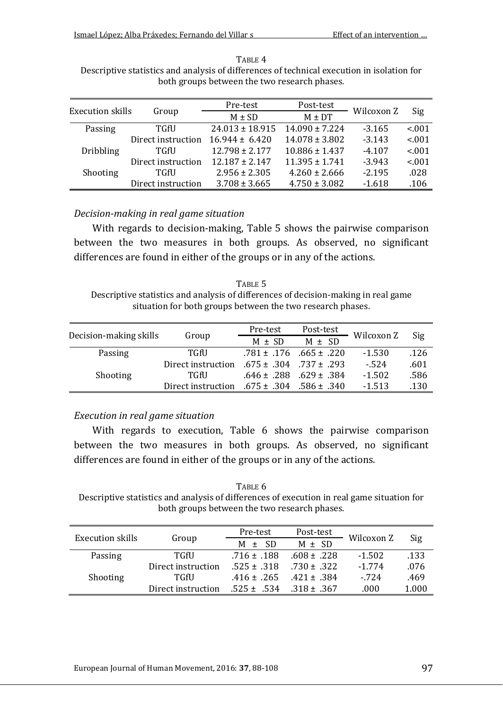| TABLE 4                                                                                    |  |  |  |  |
|--------------------------------------------------------------------------------------------|--|--|--|--|
| Descriptive statistics and analysis of differences of technical execution in isolation for |  |  |  |  |
| both groups between the two research phases.                                               |  |  |  |  |

| Execution skills |                    | Pre-test            | Post-test          | Wilcoxon Z |        |
|------------------|--------------------|---------------------|--------------------|------------|--------|
|                  | Group              | $M \pm SD$          | $M \pm DT$         |            | Sig    |
| Passing          | TGfU               | $24.013 \pm 18.915$ | $14.090 \pm 7.224$ | $-3.165$   | < 0.01 |
|                  | Direct instruction | $16.944 \pm 6.420$  | $14.078 \pm 3.802$ | $-3.143$   | < 0.01 |
| Dribbling        | TGfU               | $12.798 \pm 2.177$  | $10.886 \pm 1.437$ | $-4.107$   | < 0.01 |
|                  | Direct instruction | $12.187 \pm 2.147$  | $11.395 \pm 1.741$ | $-3.943$   | < 0.01 |
| Shooting         | TGfU               | $2.956 \pm 2.305$   | $4.260 \pm 2.666$  | $-2.195$   | .028   |
|                  | Direct instruction | $3.708 \pm 3.665$   | $4.750 \pm 3.082$  | $-1.618$   | .106   |

## *Decision-making in real game situation*

With regards to decision-making, Table 5 shows the pairwise comparison between the two measures in both groups. As observed, no significant differences are found in either of the groups or in any of the actions.

TABLE 5 Descriptive statistics and analysis of differences of decision-making in real game situation for both groups between the two research phases.

| Decision-making skills |                                                    | Pre-test   | Post-test                       | Wilcoxon Z | Sig  |
|------------------------|----------------------------------------------------|------------|---------------------------------|------------|------|
|                        | Group                                              | $M \pm SD$ | $M \pm SD$                      |            |      |
| Passing                | TGfU                                               |            | $.781 \pm .176$ $.665 \pm .220$ | $-1.530$   | .126 |
|                        | Direct instruction $.675 \pm .304$ .737 $\pm .293$ |            |                                 | $-524$     | .601 |
| Shooting               | TGfU                                               |            | $.646 \pm .288$ $.629 \pm .384$ | $-1.502$   | .586 |
|                        | Direct instruction $.675 \pm .304$ $.586 \pm .340$ |            |                                 | $-1.513$   | .130 |

## *Execution in real game situation*

With regards to execution, Table 6 shows the pairwise comparison between the two measures in both groups. As observed, no significant differences are found in either of the groups or in any of the actions.

TABLE 6 Descriptive statistics and analysis of differences of execution in real game situation for both groups between the two research phases.

| Execution skills | Group              | Pre-test        | Post-test       |            |       |
|------------------|--------------------|-----------------|-----------------|------------|-------|
|                  |                    | -SD.<br>$M +$   | $M \pm SD$      | Wilcoxon Z | Sig   |
| Passing          | TGfU               | .716 ± .188     | $.608 \pm .228$ | $-1.502$   | .133  |
|                  | Direct instruction | $.525 + .318$   | $.730 + .322$   | $-1.774$   | .076  |
| Shooting         | TGfU               | $.416 \pm .265$ | $.421 + .384$   | $-724$     | .469  |
|                  | Direct instruction | $.525 \pm .534$ | $.318 \pm .367$ | .000       | 1.000 |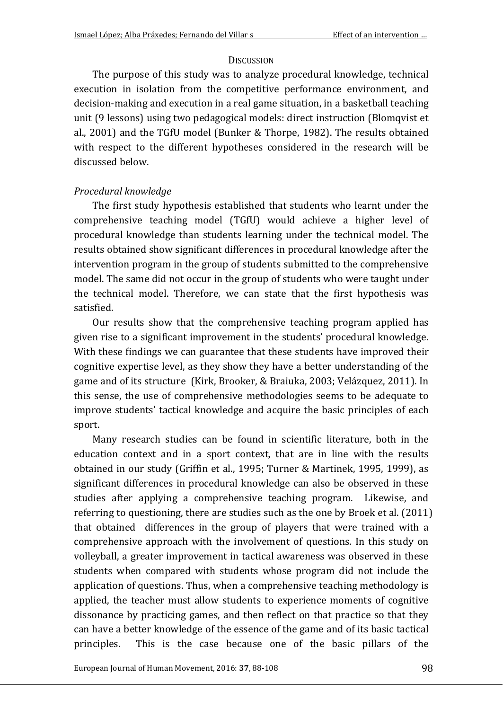#### **DISCUSSION**

The purpose of this study was to analyze procedural knowledge, technical execution in isolation from the competitive performance environment, and decision-making and execution in a real game situation, in a basketball teaching unit (9 lessons) using two pedagogical models: direct instruction (Blomqvist et al., 2001) and the TGfU model (Bunker & Thorpe, 1982). The results obtained with respect to the different hypotheses considered in the research will be discussed below.

### *Procedural knowledge*

The first study hypothesis established that students who learnt under the comprehensive teaching model (TGfU) would achieve a higher level of procedural knowledge than students learning under the technical model. The results obtained show significant differences in procedural knowledge after the intervention program in the group of students submitted to the comprehensive model. The same did not occur in the group of students who were taught under the technical model. Therefore, we can state that the first hypothesis was satisfied.

Our results show that the comprehensive teaching program applied has given rise to a significant improvement in the students' procedural knowledge. With these findings we can guarantee that these students have improved their cognitive expertise level, as they show they have a better understanding of the game and of its structure (Kirk, Brooker, & Braiuka, 2003; Velázquez, 2011). In this sense, the use of comprehensive methodologies seems to be adequate to improve students' tactical knowledge and acquire the basic principles of each sport.

Many research studies can be found in scientific literature, both in the education context and in a sport context, that are in line with the results obtained in our study (Griffin et al., 1995; Turner & Martinek, 1995, 1999), as significant differences in procedural knowledge can also be observed in these studies after applying a comprehensive teaching program. Likewise, and referring to questioning, there are studies such as the one by Broek et al. (2011) that obtained differences in the group of players that were trained with a comprehensive approach with the involvement of questions. In this study on volleyball, a greater improvement in tactical awareness was observed in these students when compared with students whose program did not include the application of questions. Thus, when a comprehensive teaching methodology is applied, the teacher must allow students to experience moments of cognitive dissonance by practicing games, and then reflect on that practice so that they can have a better knowledge of the essence of the game and of its basic tactical principles. This is the case because one of the basic pillars of the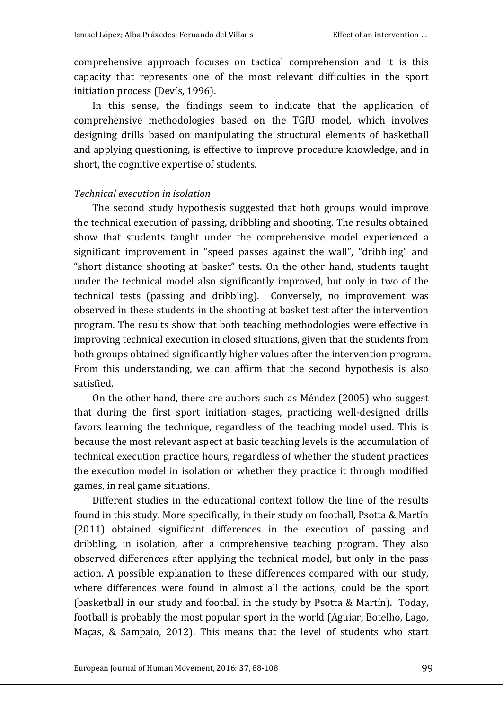comprehensive approach focuses on tactical comprehension and it is this capacity that represents one of the most relevant difficulties in the sport initiation process (Devís, 1996).

In this sense, the findings seem to indicate that the application of comprehensive methodologies based on the TGfU model, which involves designing drills based on manipulating the structural elements of basketball and applying questioning, is effective to improve procedure knowledge, and in short, the cognitive expertise of students.

## *Technical execution in isolation*

The second study hypothesis suggested that both groups would improve the technical execution of passing, dribbling and shooting. The results obtained show that students taught under the comprehensive model experienced a significant improvement in "speed passes against the wall", "dribbling" and "short distance shooting at basket" tests. On the other hand, students taught under the technical model also significantly improved, but only in two of the technical tests (passing and dribbling). Conversely, no improvement was observed in these students in the shooting at basket test after the intervention program. The results show that both teaching methodologies were effective in improving technical execution in closed situations, given that the students from both groups obtained significantly higher values after the intervention program. From this understanding, we can affirm that the second hypothesis is also satisfied.

On the other hand, there are authors such as Méndez (2005) who suggest that during the first sport initiation stages, practicing well-designed drills favors learning the technique, regardless of the teaching model used. This is because the most relevant aspect at basic teaching levels is the accumulation of technical execution practice hours, regardless of whether the student practices the execution model in isolation or whether they practice it through modified games, in real game situations.

Different studies in the educational context follow the line of the results found in this study. More specifically, in their study on football, Psotta & Martín (2011) obtained significant differences in the execution of passing and dribbling, in isolation, after a comprehensive teaching program. They also observed differences after applying the technical model, but only in the pass action. A possible explanation to these differences compared with our study, where differences were found in almost all the actions, could be the sport (basketball in our study and football in the study by Psotta & Martín). Today, football is probably the most popular sport in the world (Aguiar, Botelho, Lago, Maças, & Sampaio, 2012). This means that the level of students who start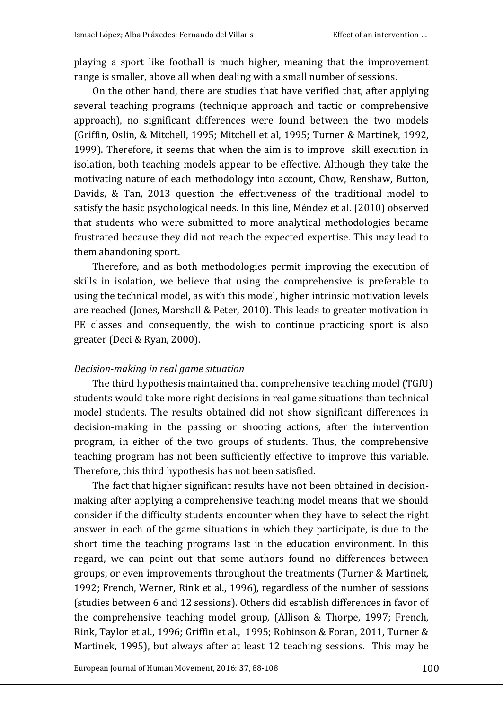playing a sport like football is much higher, meaning that the improvement range is smaller, above all when dealing with a small number of sessions.

On the other hand, there are studies that have verified that, after applying several teaching programs (technique approach and tactic or comprehensive approach), no significant differences were found between the two models (Griffin, Oslin, & Mitchell, 1995; Mitchell et al, 1995; Turner & Martinek, 1992, 1999). Therefore, it seems that when the aim is to improve skill execution in isolation, both teaching models appear to be effective. Although they take the motivating nature of each methodology into account, Chow, Renshaw, Button, Davids, & Tan, 2013 question the effectiveness of the traditional model to satisfy the basic psychological needs. In this line, Méndez et al. (2010) observed that students who were submitted to more analytical methodologies became frustrated because they did not reach the expected expertise. This may lead to them abandoning sport.

Therefore, and as both methodologies permit improving the execution of skills in isolation, we believe that using the comprehensive is preferable to using the technical model, as with this model, higher intrinsic motivation levels are reached (Jones, Marshall & Peter, 2010). This leads to greater motivation in PE classes and consequently, the wish to continue practicing sport is also greater (Deci & Ryan, 2000).

#### *Decision-making in real game situation*

The third hypothesis maintained that comprehensive teaching model (TGfU) students would take more right decisions in real game situations than technical model students. The results obtained did not show significant differences in decision-making in the passing or shooting actions, after the intervention program, in either of the two groups of students. Thus, the comprehensive teaching program has not been sufficiently effective to improve this variable. Therefore, this third hypothesis has not been satisfied.

The fact that higher significant results have not been obtained in decisionmaking after applying a comprehensive teaching model means that we should consider if the difficulty students encounter when they have to select the right answer in each of the game situations in which they participate, is due to the short time the teaching programs last in the education environment. In this regard, we can point out that some authors found no differences between groups, or even improvements throughout the treatments (Turner & Martinek, 1992; French, Werner, Rink et al., 1996), regardless of the number of sessions (studies between 6 and 12 sessions). Others did establish differences in favor of the comprehensive teaching model group, (Allison & Thorpe, 1997; French, Rink, Taylor et al., 1996; Griffin et al., 1995; Robinson & Foran, 2011, Turner & Martinek, 1995), but always after at least 12 teaching sessions. This may be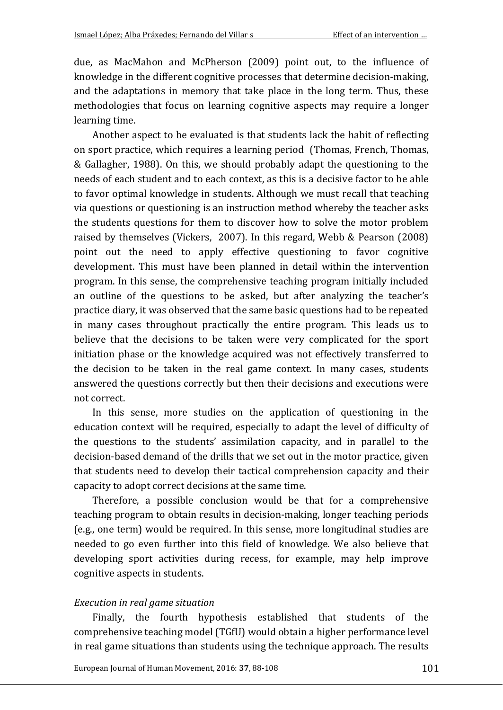due, as MacMahon and McPherson (2009) point out, to the influence of knowledge in the different cognitive processes that determine decision-making, and the adaptations in memory that take place in the long term. Thus, these methodologies that focus on learning cognitive aspects may require a longer learning time.

Another aspect to be evaluated is that students lack the habit of reflecting on sport practice, which requires a learning period (Thomas, French, Thomas, & Gallagher, 1988). On this, we should probably adapt the questioning to the needs of each student and to each context, as this is a decisive factor to be able to favor optimal knowledge in students. Although we must recall that teaching via questions or questioning is an instruction method whereby the teacher asks the students questions for them to discover how to solve the motor problem raised by themselves (Vickers, 2007). In this regard, Webb & Pearson (2008) point out the need to apply effective questioning to favor cognitive development. This must have been planned in detail within the intervention program. In this sense, the comprehensive teaching program initially included an outline of the questions to be asked, but after analyzing the teacher's practice diary, it was observed that the same basic questions had to be repeated in many cases throughout practically the entire program. This leads us to believe that the decisions to be taken were very complicated for the sport initiation phase or the knowledge acquired was not effectively transferred to the decision to be taken in the real game context. In many cases, students answered the questions correctly but then their decisions and executions were not correct.

In this sense, more studies on the application of questioning in the education context will be required, especially to adapt the level of difficulty of the questions to the students' assimilation capacity, and in parallel to the decision-based demand of the drills that we set out in the motor practice, given that students need to develop their tactical comprehension capacity and their capacity to adopt correct decisions at the same time.

Therefore, a possible conclusion would be that for a comprehensive teaching program to obtain results in decision-making, longer teaching periods (e.g., one term) would be required. In this sense, more longitudinal studies are needed to go even further into this field of knowledge. We also believe that developing sport activities during recess, for example, may help improve cognitive aspects in students.

## *Execution in real game situation*

Finally, the fourth hypothesis established that students of the comprehensive teaching model (TGfU) would obtain a higher performance level in real game situations than students using the technique approach. The results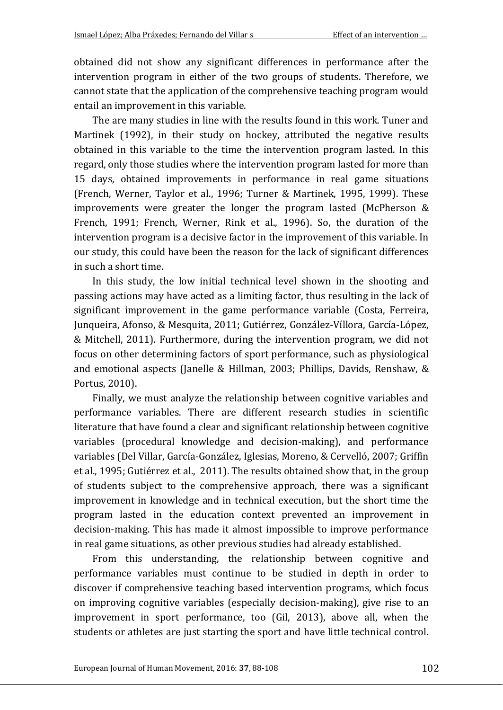obtained did not show any significant differences in performance after the intervention program in either of the two groups of students. Therefore, we cannot state that the application of the comprehensive teaching program would entail an improvement in this variable.

The are many studies in line with the results found in this work. Tuner and Martinek (1992), in their study on hockey, attributed the negative results obtained in this variable to the time the intervention program lasted. In this regard, only those studies where the intervention program lasted for more than 15 days, obtained improvements in performance in real game situations (French, Werner, Taylor et al., 1996; Turner & Martinek, 1995, 1999). These improvements were greater the longer the program lasted (McPherson & French, 1991; French, Werner, Rink et al., 1996). So, the duration of the intervention program is a decisive factor in the improvement of this variable. In our study, this could have been the reason for the lack of significant differences in such a short time.

In this study, the low initial technical level shown in the shooting and passing actions may have acted as a limiting factor, thus resulting in the lack of significant improvement in the game performance variable (Costa, Ferreira, Junqueira, Afonso, & Mesquita, 2011; Gutiérrez, González-Víllora, García-López, & Mitchell, 2011). Furthermore, during the intervention program, we did not focus on other determining factors of sport performance, such as physiological and emotional aspects (Janelle & Hillman, 2003; Phillips, Davids, Renshaw, & Portus, 2010).

Finally, we must analyze the relationship between cognitive variables and performance variables. There are different research studies in scientific literature that have found a clear and significant relationship between cognitive variables (procedural knowledge and decision-making), and performance variables (Del Villar, García-González, Iglesias, Moreno, & Cervelló, 2007; Griffin et al., 1995; Gutiérrez et al., 2011). The results obtained show that, in the group of students subject to the comprehensive approach, there was a significant improvement in knowledge and in technical execution, but the short time the program lasted in the education context prevented an improvement in decision-making. This has made it almost impossible to improve performance in real game situations, as other previous studies had already established.

From this understanding, the relationship between cognitive and performance variables must continue to be studied in depth in order to discover if comprehensive teaching based intervention programs, which focus on improving cognitive variables (especially decision-making), give rise to an improvement in sport performance, too (Gil, 2013), above all, when the students or athletes are just starting the sport and have little technical control.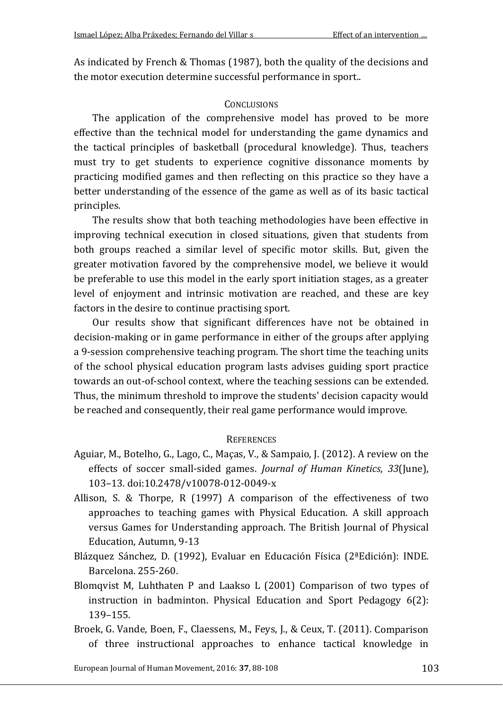As indicated by French & Thomas (1987), both the quality of the decisions and the motor execution determine successful performance in sport..

## **CONCLUSIONS**

The application of the comprehensive model has proved to be more effective than the technical model for understanding the game dynamics and the tactical principles of basketball (procedural knowledge). Thus, teachers must try to get students to experience cognitive dissonance moments by practicing modified games and then reflecting on this practice so they have a better understanding of the essence of the game as well as of its basic tactical principles.

The results show that both teaching methodologies have been effective in improving technical execution in closed situations, given that students from both groups reached a similar level of specific motor skills. But, given the greater motivation favored by the comprehensive model, we believe it would be preferable to use this model in the early sport initiation stages, as a greater level of enjoyment and intrinsic motivation are reached, and these are key factors in the desire to continue practising sport.

Our results show that significant differences have not be obtained in decision-making or in game performance in either of the groups after applying a 9-session comprehensive teaching program. The short time the teaching units of the school physical education program lasts advises guiding sport practice towards an out-of-school context, where the teaching sessions can be extended. Thus, the minimum threshold to improve the students' decision capacity would be reached and consequently, their real game performance would improve.

## **REFERENCES**

- Aguiar, M., Botelho, G., Lago, C., Maças, V., & Sampaio, J. (2012). A review on the effects of soccer small-sided games. *Journal of Human Kinetics*, *33*(June), 103–13. doi:10.2478/v10078-012-0049-x
- Allison, S. & Thorpe, R (1997) A comparison of the effectiveness of two approaches to teaching games with Physical Education. A skill approach versus Games for Understanding approach. The British Journal of Physical Education, Autumn, 9-13
- Blázquez Sánchez, D. (1992), Evaluar en Educación Física (2ªEdición): INDE. Barcelona. 255-260.
- Blomqvist M, Luhthaten P and Laakso L (2001) Comparison of two types of instruction in badminton. Physical Education and Sport Pedagogy 6(2): 139–155.
- Broek, G. Vande, Boen, F., Claessens, M., Feys, J., & Ceux, T. (2011). Comparison of three instructional approaches to enhance tactical knowledge in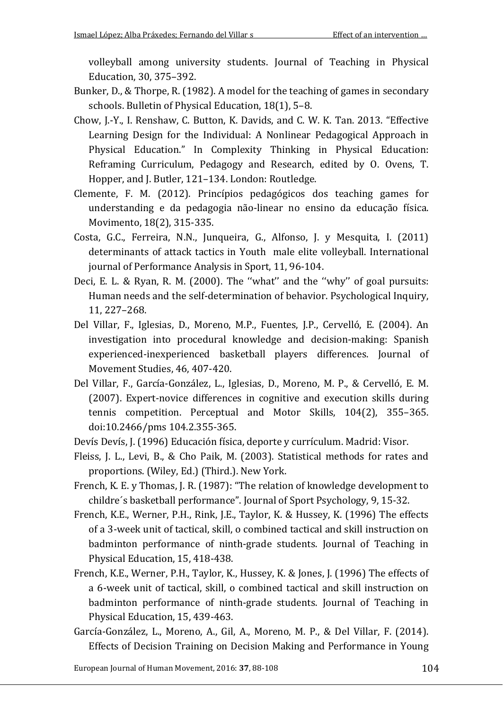volleyball among university students. Journal of Teaching in Physical Education, 30, 375–392.

- Bunker, D., & Thorpe, R. (1982). A model for the teaching of games in secondary schools. Bulletin of Physical Education, 18(1), 5–8.
- Chow, J.-Y., I. Renshaw, C. Button, K. Davids, and C. W. K. Tan. 2013. "Effective Learning Design for the Individual: A Nonlinear Pedagogical Approach in Physical Education." In Complexity Thinking in Physical Education: Reframing Curriculum, Pedagogy and Research, edited by O. Ovens, T. Hopper, and J. Butler, 121–134. London: Routledge.
- Clemente, F. M. (2012). Princípios pedagógicos dos teaching games for understanding e da pedagogia não-linear no ensino da educação física. Movimento, 18(2), 315-335.
- Costa, G.C., Ferreira, N.N., Junqueira, G., Alfonso, J. y Mesquita, I. (2011) determinants of attack tactics in Youth male elite volleyball. International journal of Performance Analysis in Sport, 11, 96-104.
- Deci, E. L. & Ryan, R. M. (2000). The ''what'' and the ''why'' of goal pursuits: Human needs and the self-determination of behavior. Psychological Inquiry, 11, 227–268.
- Del Villar, F., Iglesias, D., Moreno, M.P., Fuentes, J.P., Cervelló, E. (2004). An investigation into procedural knowledge and decision-making: Spanish experienced-inexperienced basketball players differences. Journal of Movement Studies, 46, 407-420.
- Del Villar, F., García-González, L., Iglesias, D., Moreno, M. P., & Cervelló, E. M. (2007). Expert-novice differences in cognitive and execution skills during tennis competition. Perceptual and Motor Skills, 104(2), 355–365. doi:10.2466/pms 104.2.355-365.
- Devís Devís, J. (1996) Educación física, deporte y currículum. Madrid: Visor.
- Fleiss, J. L., Levi, B., & Cho Paik, M. (2003). Statistical methods for rates and proportions. (Wiley, Ed.) (Third.). New York.
- French, K. E. y Thomas, J. R. (1987): "The relation of knowledge development to childre´s basketball performance". Journal of Sport Psychology, 9, 15-32.
- French, K.E., Werner, P.H., Rink, J.E., Taylor, K. & Hussey, K. (1996) The effects of a 3-week unit of tactical, skill, o combined tactical and skill instruction on badminton performance of ninth-grade students. Journal of Teaching in Physical Education, 15, 418-438.
- French, K.E., Werner, P.H., Taylor, K., Hussey, K. & Jones, J. (1996) The effects of a 6-week unit of tactical, skill, o combined tactical and skill instruction on badminton performance of ninth-grade students. Journal of Teaching in Physical Education, 15, 439-463.
- García-González, L., Moreno, A., Gil, A., Moreno, M. P., & Del Villar, F. (2014). Effects of Decision Training on Decision Making and Performance in Young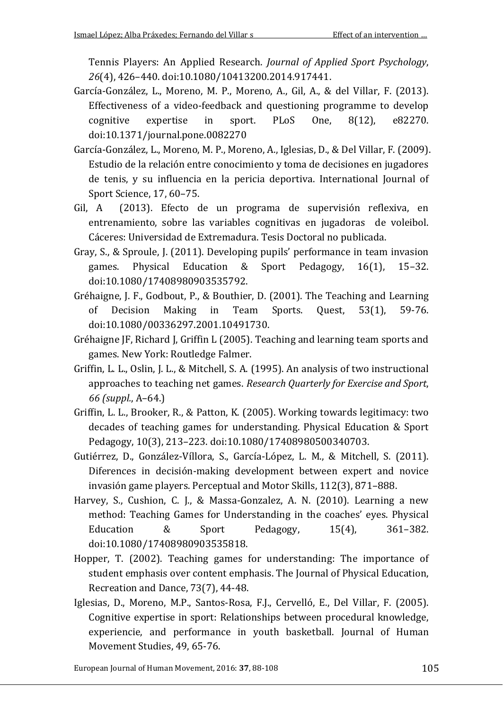Tennis Players: An Applied Research. *Journal of Applied Sport Psychology*, *26*(4), 426–440. doi:10.1080/10413200.2014.917441.

- García-González, L., Moreno, M. P., Moreno, A., Gil, A., & del Villar, F. (2013). Effectiveness of a video-feedback and questioning programme to develop cognitive expertise in sport. PLoS One, 8(12), e82270. cognitive expertise in sport. PLoS One, 8(12), e82270. doi:10.1371/journal.pone.0082270
- García-González, L., Moreno, M. P., Moreno, A., Iglesias, D., & Del Villar, F. (2009). Estudio de la relación entre conocimiento y toma de decisiones en jugadores de tenis, y su influencia en la pericia deportiva. International Journal of Sport Science, 17, 60–75.
- Gil, A (2013). Efecto de un programa de supervisión reflexiva, en entrenamiento, sobre las variables cognitivas en jugadoras de voleibol. Cáceres: Universidad de Extremadura. Tesis Doctoral no publicada.
- Gray, S., & Sproule, J. (2011). Developing pupils' performance in team invasion games. Physical Education & Sport Pedagogy, 16(1), 15–32. doi:10.1080/17408980903535792.
- Gréhaigne, J. F., Godbout, P., & Bouthier, D. (2001). The Teaching and Learning of Decision Making in Team Sports. Quest, 53(1), 59-76. doi:10.1080/00336297.2001.10491730.
- Gréhaigne JF, Richard J, Griffin L (2005). Teaching and learning team sports and games. New York: Routledge Falmer.
- Griffin, L. L., Oslin, J. L., & Mitchell, S. A. (1995). An analysis of two instructional approaches to teaching net games. *Research Quarterly for Exercise and Sport*, *66 (suppl.*, A–64.)
- Griffin, L. L., Brooker, R., & Patton, K. (2005). Working towards legitimacy: two decades of teaching games for understanding. Physical Education & Sport Pedagogy, 10(3), 213–223. doi:10.1080/17408980500340703.
- Gutiérrez, D., González-Víllora, S., García-López, L. M., & Mitchell, S. (2011). Diferences in decisión-making development between expert and novice invasión game players. Perceptual and Motor Skills, 112(3), 871–888.
- Harvey, S., Cushion, C. J., & Massa-Gonzalez, A. N. (2010). Learning a new method: Teaching Games for Understanding in the coaches' eyes. Physical Education & Sport Pedagogy, 15(4), 361–382. doi:10.1080/17408980903535818.
- Hopper, T. (2002). Teaching games for understanding: The importance of student emphasis over content emphasis. The Journal of Physical Education, Recreation and Dance, 73(7), 44-48.
- Iglesias, D., Moreno, M.P., Santos-Rosa, F.J., Cervelló, E., Del Villar, F. (2005). Cognitive expertise in sport: Relationships between procedural knowledge, experiencie, and performance in youth basketball. Journal of Human Movement Studies, 49, 65-76.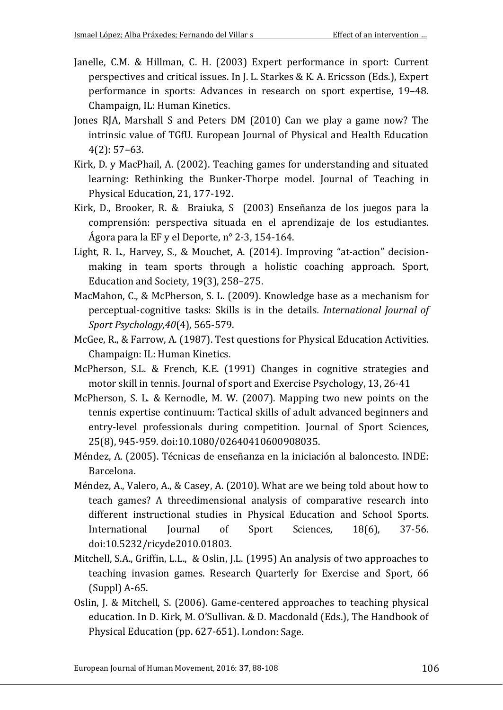- Janelle, C.M. & Hillman, C. H. (2003) Expert performance in sport: Current perspectives and critical issues. In J. L. Starkes & K. A. Ericsson (Eds.), Expert performance in sports: Advances in research on sport expertise, 19–48. Champaign, IL: Human Kinetics.
- Jones RJA, Marshall S and Peters DM (2010) Can we play a game now? The intrinsic value of TGfU. European Journal of Physical and Health Education 4(2): 57–63.
- Kirk, D. y MacPhail, A. (2002). Teaching games for understanding and situated learning: Rethinking the Bunker-Thorpe model. Journal of Teaching in Physical Education, 21, 177-192.
- Kirk, D., Brooker, R. & Braiuka, S (2003) Enseñanza de los juegos para la comprensión: perspectiva situada en el aprendizaje de los estudiantes. Ágora para la EF y el Deporte, n° 2-3, 154-164.
- Light, R. L., Harvey, S., & Mouchet, A. (2014). Improving "at-action" decisionmaking in team sports through a holistic coaching approach. Sport, Education and Society, 19(3), 258–275.
- MacMahon, C., & McPherson, S. L. (2009). Knowledge base as a mechanism for perceptual-cognitive tasks: Skills is in the details*. International Journal of Sport Psychology,40*(4)*,* 565-579.
- McGee, R., & Farrow, A. (1987). Test questions for Physical Education Activities. Champaign: IL: Human Kinetics.
- McPherson, S.L. & French, K.E. (1991) Changes in cognitive strategies and motor skill in tennis. Journal of sport and Exercise Psychology, 13, 26-41
- McPherson, S. L. & Kernodle, M. W. (2007). Mapping two new points on the tennis expertise continuum: Tactical skills of adult advanced beginners and entry-level professionals during competition. Journal of Sport Sciences, 25(8), 945-959. doi:10.1080/02640410600908035.
- Méndez, A. (2005). Técnicas de enseñanza en la iniciación al baloncesto. INDE: Barcelona.
- Méndez, A., Valero, A., & Casey, A. (2010). What are we being told about how to teach games? A threedimensional analysis of comparative research into different instructional studies in Physical Education and School Sports. International Journal of Sport Sciences, 18(6), 37-56. doi:10.5232/ricyde2010.01803.
- Mitchell, S.A., Griffin, L.L., & Oslin, J.L. (1995) An analysis of two approaches to teaching invasion games. Research Quarterly for Exercise and Sport, 66 (Suppl) A-65.
- Oslin, J. & Mitchell, S. (2006). Game-centered approaches to teaching physical education. In D. Kirk, M. O'Sullivan. & D. Macdonald (Eds.), The Handbook of Physical Education (pp. 627-651). London: Sage.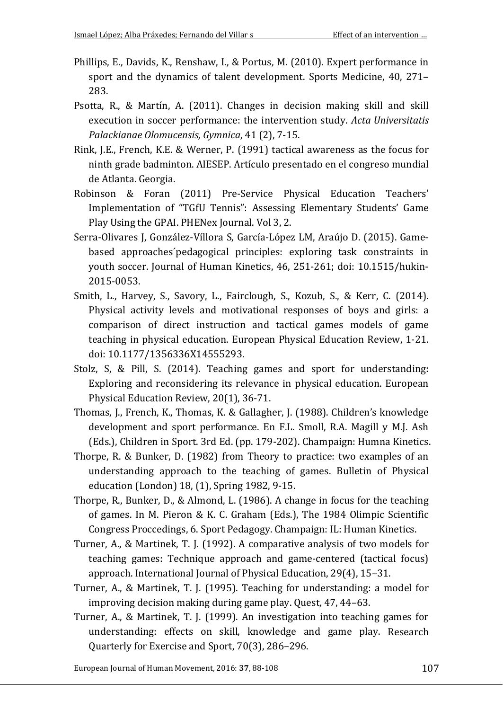- Phillips, E., Davids, K., Renshaw, I., & Portus, M. (2010). Expert performance in sport and the dynamics of talent development. Sports Medicine, 40, 271– 283.
- Psotta, R., & Martín, A. (2011). Changes in decision making skill and skill execution in soccer performance: the intervention study. *Acta Universitatis Palackianae Olomucensis, Gymnica*, 41 (2), 7-15.
- Rink, J.E., French, K.E. & Werner, P. (1991) tactical awareness as the focus for ninth grade badminton. AIESEP. Artículo presentado en el congreso mundial de Atlanta. Georgia.
- Robinson & Foran (2011) Pre-Service Physical Education Teachers' Implementation of "TGfU Tennis": Assessing Elementary Students' Game Play Using the GPAI. PHENex Journal. Vol 3, 2.
- Serra-Olivares J, González-Víllora S, García-López LM, Araújo D. (2015). Gamebased approaches´pedagogical principles: exploring task constraints in youth soccer. Journal of Human Kinetics, 46, 251-261; doi: 10.1515/hukin-2015-0053.
- Smith, L., Harvey, S., Savory, L., Fairclough, S., Kozub, S., & Kerr, C. (2014). Physical activity levels and motivational responses of boys and girls: a comparison of direct instruction and tactical games models of game teaching in physical education. European Physical Education Review, 1-21. doi: 10.1177/1356336X14555293.
- Stolz, S, & Pill, S. (2014). Teaching games and sport for understanding: Exploring and reconsidering its relevance in physical education. European Physical Education Review, 20(1), 36-71.
- Thomas, J., French, K., Thomas, K. & Gallagher, J. (1988). Children's knowledge development and sport performance. En F.L. Smoll, R.A. Magill y M.J. Ash (Eds.), Children in Sport. 3rd Ed. (pp. 179-202). Champaign: Humna Kinetics.
- Thorpe, R. & Bunker, D. (1982) from Theory to practice: two examples of an understanding approach to the teaching of games. Bulletin of Physical education (London) 18, (1), Spring 1982, 9-15.
- Thorpe, R., Bunker, D., & Almond, L. (1986). A change in focus for the teaching of games. In M. Pieron & K. C. Graham (Eds.), The 1984 Olimpic Scientific Congress Proccedings, 6. Sport Pedagogy. Champaign: IL: Human Kinetics.
- Turner, A., & Martinek, T. J. (1992). A comparative analysis of two models for teaching games: Technique approach and game-centered (tactical focus) approach. International Journal of Physical Education, 29(4), 15–31.
- Turner, A., & Martinek, T. J. (1995). Teaching for understanding: a model for improving decision making during game play. Quest, 47, 44–63.
- Turner, A., & Martinek, T. J. (1999). An investigation into teaching games for understanding: effects on skill, knowledge and game play. Research Quarterly for Exercise and Sport, 70(3), 286–296.